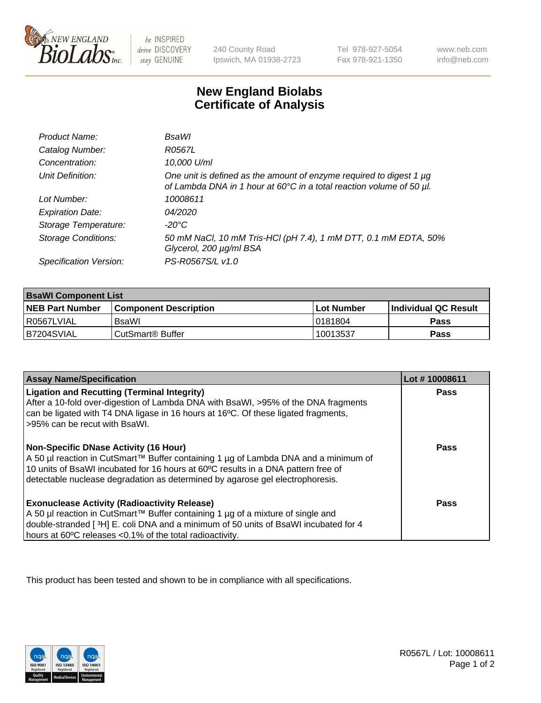

 $be$  INSPIRED drive DISCOVERY stay GENUINE

240 County Road Ipswich, MA 01938-2723 Tel 978-927-5054 Fax 978-921-1350 www.neb.com info@neb.com

## **New England Biolabs Certificate of Analysis**

| Product Name:              | BsaWl                                                                                                                                       |
|----------------------------|---------------------------------------------------------------------------------------------------------------------------------------------|
| Catalog Number:            | R0567L                                                                                                                                      |
| Concentration:             | 10,000 U/ml                                                                                                                                 |
| Unit Definition:           | One unit is defined as the amount of enzyme required to digest 1 µg<br>of Lambda DNA in 1 hour at 60°C in a total reaction volume of 50 µl. |
| Lot Number:                | 10008611                                                                                                                                    |
| <b>Expiration Date:</b>    | 04/2020                                                                                                                                     |
| Storage Temperature:       | $-20^{\circ}$ C                                                                                                                             |
| <b>Storage Conditions:</b> | 50 mM NaCl, 10 mM Tris-HCl (pH 7.4), 1 mM DTT, 0.1 mM EDTA, 50%<br>Glycerol, 200 µg/ml BSA                                                  |
| Specification Version:     | PS-R0567S/L v1.0                                                                                                                            |

| <b>BsaWI Component List</b> |                         |              |                             |  |
|-----------------------------|-------------------------|--------------|-----------------------------|--|
| <b>NEB Part Number</b>      | l Component Description | l Lot Number | <b>Individual QC Result</b> |  |
| l R0567LVIAL                | BsaWl                   | 10181804     | Pass                        |  |
| B7204SVIAL                  | l CutSmart® Buffer      | 10013537     | Pass                        |  |

| <b>Assay Name/Specification</b>                                                                                                                                                                                                                                                                           | Lot #10008611 |
|-----------------------------------------------------------------------------------------------------------------------------------------------------------------------------------------------------------------------------------------------------------------------------------------------------------|---------------|
| <b>Ligation and Recutting (Terminal Integrity)</b><br>After a 10-fold over-digestion of Lambda DNA with BsaWI, >95% of the DNA fragments<br>can be ligated with T4 DNA ligase in 16 hours at 16 <sup>o</sup> C. Of these ligated fragments,<br>-95% can be recut with BsaWI.                              | Pass          |
| <b>Non-Specific DNase Activity (16 Hour)</b><br>A 50 µl reaction in CutSmart™ Buffer containing 1 µg of Lambda DNA and a minimum of<br>10 units of BsaWI incubated for 16 hours at 60°C results in a DNA pattern free of<br>detectable nuclease degradation as determined by agarose gel electrophoresis. | Pass          |
| <b>Exonuclease Activity (Radioactivity Release)</b><br>  A 50 µl reaction in CutSmart™ Buffer containing 1 µg of a mixture of single and<br>double-stranded [3H] E. coli DNA and a minimum of 50 units of BsaWI incubated for 4<br>hours at 60°C releases <0.1% of the total radioactivity.               | Pass          |

This product has been tested and shown to be in compliance with all specifications.